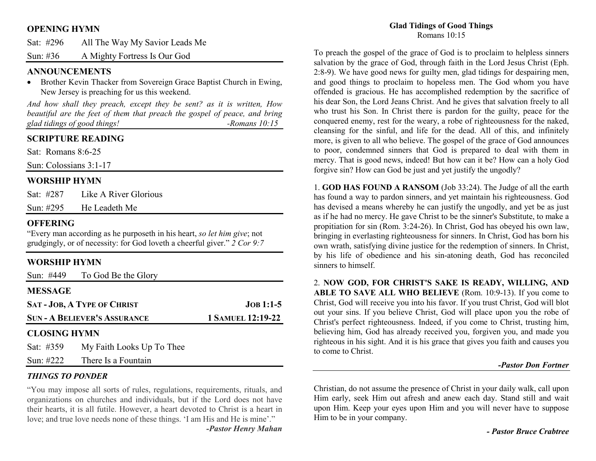### **OPENING HYMN**

| Sat: $\#296$ | All The Way My Savior Leads Me |
|--------------|--------------------------------|
| Sun: #36     | A Mighty Fortress Is Our God   |

### **ANNOUNCEMENTS**

 • Brother Kevin Thacker from Sovereign Grace Baptist Church in Ewing, New Jersey is preaching for us this weekend.

*And how shall they preach, except they be sent? as it is written, How* beautiful are the feet of them that preach the gospel of peace, and bring *glad tidings of good things! -Romans 10:15* 

## **SCRIPTURE READING**

Sat: Romans 8:6-25

Sun: Colossians 3:1-17

### **WORSHIP HYMN**

| Sat: #287    | Like A River Glorious |
|--------------|-----------------------|
| Sun: $\#295$ | He Leadeth Me         |

### **OFFERING**

 "Every man according as he purposeth in his heart, *so let him give*; not grudgingly, or of necessity: for God loveth a cheerful giver." *2 Cor 9:7*

# **WORSHIP HYMN**

| Sun: #449                           | To God Be the Glory       |                          |
|-------------------------------------|---------------------------|--------------------------|
| <b>MESSAGE</b>                      |                           |                          |
| <b>SAT-JOB, A TYPE OF CHRIST</b>    |                           | $JOB 1:1-5$              |
| <b>SUN - A BELIEVER'S ASSURANCE</b> |                           | <b>1 SAMUEL 12:19-22</b> |
| <b>CLOSING HYMN</b>                 |                           |                          |
| Sat: #359                           | My Faith Looks Up To Thee |                          |
| Sun: $\#222$                        | There Is a Fountain       |                          |

### *THINGS TO PONDER*

 "You may impose all sorts of rules, regulations, requirements, rituals, and organizations on churches and individuals, but if the Lord does not have their hearts, it is all futile. However, a heart devoted to Christ is a heart in love; and true love needs none of these things. 'I am His and He is mine'." *-Pastor Henry Mahan*

# **Glad Tidings of Good Things**

Romans 10:15

To preach the gospel of the grace of God is to proclaim to helpless sinners salvation by the grace of God, through faith in the Lord Jesus Christ (Eph. 2:8-9). We have good news for guilty men, glad tidings for despairing men, and good things to proclaim to hopeless men. The God whom you have offended is gracious. He has accomplished redemption by the sacrifice of his dear Son, the Lord Jeans Christ. And he gives that salvation freely to all who trust his Son. In Christ there is pardon for the guilty, peace for the conquered enemy, rest for the weary, a robe of righteousness for the naked, cleansing for the sinful, and life for the dead. All of this, and infinitely more, is given to all who believe. The gospel of the grace of God announces to poor, condemned sinners that God is prepared to deal with them in mercy. That is good news, indeed! But how can it be? How can a holy God forgive sin? How can God be just and yet justify the ungodly?

1. **GOD HAS FOUND A RANSOM** (Job 33:24). The Judge of all the earth has found a way to pardon sinners, and yet maintain his righteousness. God has devised a means whereby he can justify the ungodly, and yet be as just as if he had no mercy. He gave Christ to be the sinner's Substitute, to make a propitiation for sin (Rom. 3:24-26). In Christ, God has obeyed his own law, bringing in everlasting righteousness for sinners. In Christ, God has born his own wrath, satisfying divine justice for the redemption of sinners. In Christ, by his life of obedience and his sin-atoning death, God has reconciled sinners to himself.

2. **NOW GOD, FOR CHRIST'S SAKE IS READY, WILLING, AND ABLE TO SAVE ALL WHO BELIEVE** (Rom. 10:9-13). If you come to Christ, God will receive you into his favor. If you trust Christ, God will blot out your sins. If you believe Christ, God will place upon you the robe of Christ's perfect righteousness. Indeed, if you come to Christ, trusting him, believing him, God has already received you, forgiven you, and made you righteous in his sight. And it is his grace that gives you faith and causes you to come to Christ.

#### *-Pastor Don Fortner*

Christian, do not assume the presence of Christ in your daily walk, call upon Him early, seek Him out afresh and anew each day. Stand still and wait upon Him. Keep your eyes upon Him and you will never have to suppose Him to be in your company.

*- Pastor Bruce Crabtree*